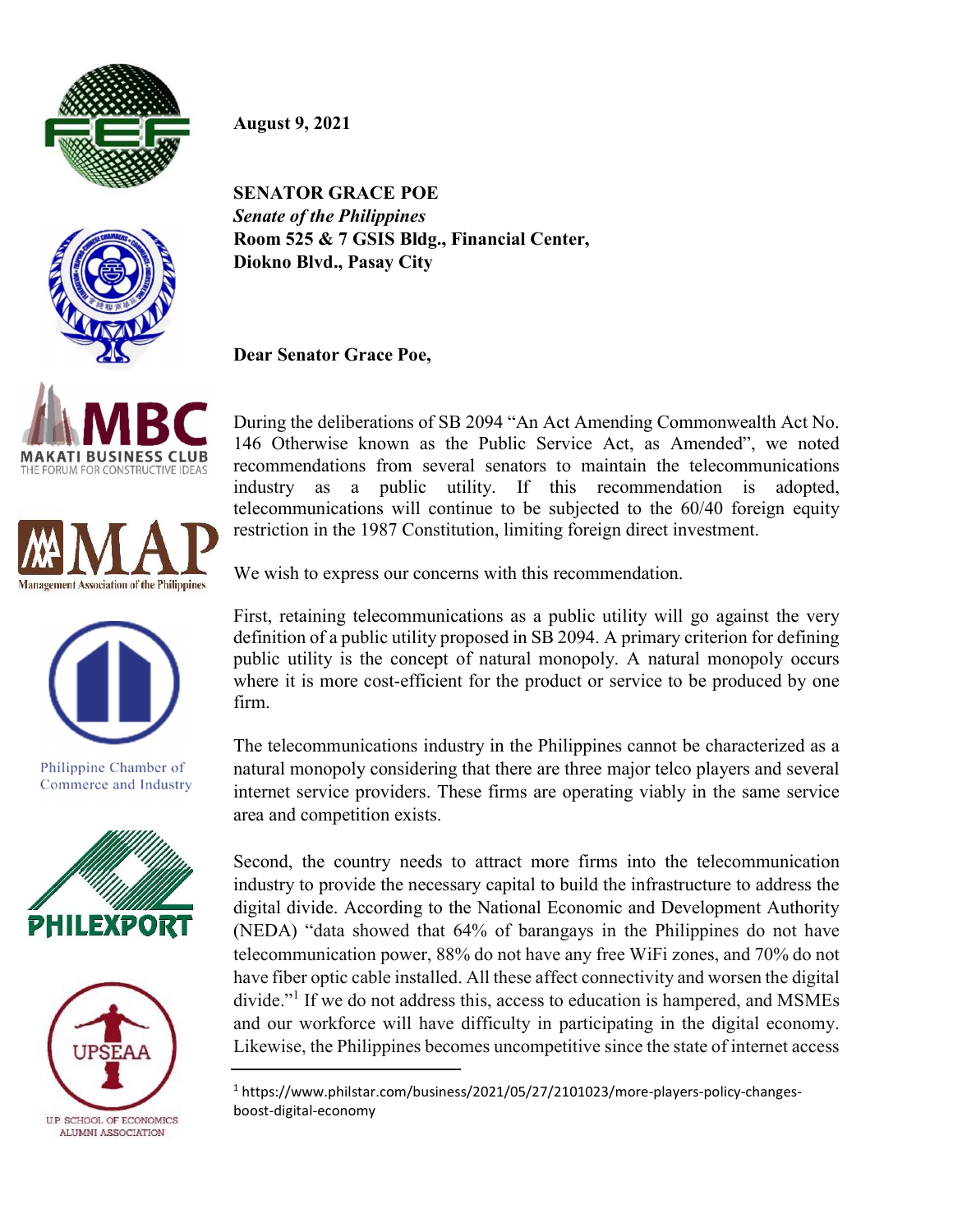

August 9, 2021



SENATOR GRACE POE Senate of the Philippines Room 525 & 7 GSIS Bldg., Financial Center, Diokno Blvd., Pasay City

Dear Senator Grace Poe,

During the deliberations of SB 2094 "An Act Amending Commonwealth Act No. 146 Otherwise known as the Public Service Act, as Amended", we noted recommendations from several senators to maintain the telecommunications industry as a public utility. If this recommendation is adopted, telecommunications will continue to be subjected to the 60/40 foreign equity restriction in the 1987 Constitution, limiting foreign direct investment.



**MAKATI BUSINESS CLUB** THE FORUM FOR CONSTRUCTIVE IDEAS



Philippine Chamber of Commerce and Industry





We wish to express our concerns with this recommendation.

First, retaining telecommunications as a public utility will go against the very definition of a public utility proposed in SB 2094. A primary criterion for defining public utility is the concept of natural monopoly. A natural monopoly occurs where it is more cost-efficient for the product or service to be produced by one firm.

The telecommunications industry in the Philippines cannot be characterized as a natural monopoly considering that there are three major telco players and several internet service providers. These firms are operating viably in the same service area and competition exists.

Second, the country needs to attract more firms into the telecommunication industry to provide the necessary capital to build the infrastructure to address the digital divide. According to the National Economic and Development Authority (NEDA) "data showed that 64% of barangays in the Philippines do not have telecommunication power, 88% do not have any free WiFi zones, and 70% do not have fiber optic cable installed. All these affect connectivity and worsen the digital divide."<sup>1</sup> If we do not address this, access to education is hampered, and MSMEs and our workforce will have difficulty in participating in the digital economy. Likewise, the Philippines becomes uncompetitive since the state of internet access

<sup>&</sup>lt;sup>1</sup> https://www.philstar.com/business/2021/05/27/2101023/more-players-policy-changesboost-digital-economy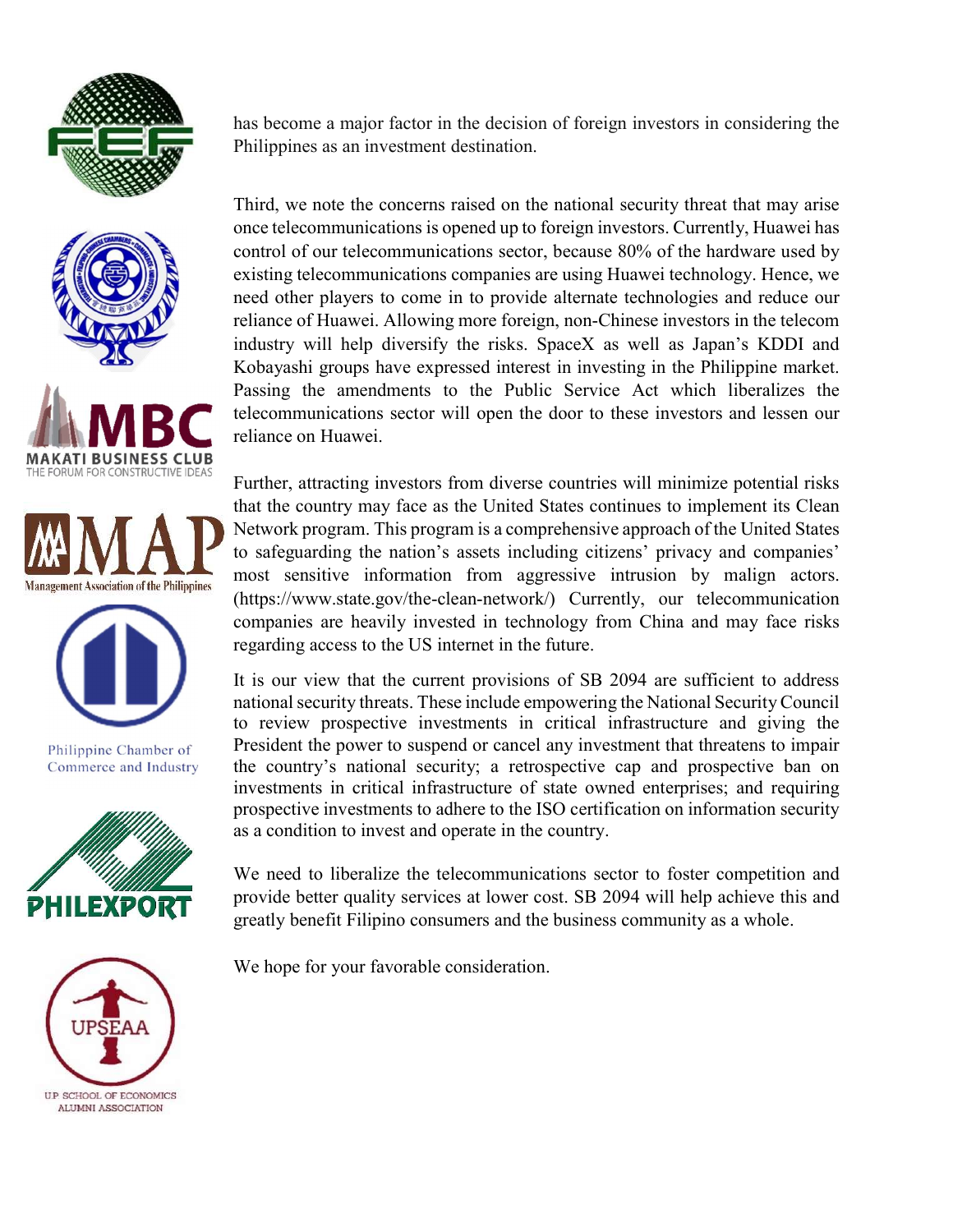









Philippine Chamber of Commerce and Industry





has become a major factor in the decision of foreign investors in considering the Philippines as an investment destination.

Third, we note the concerns raised on the national security threat that may arise once telecommunications is opened up to foreign investors. Currently, Huawei has control of our telecommunications sector, because 80% of the hardware used by existing telecommunications companies are using Huawei technology. Hence, we need other players to come in to provide alternate technologies and reduce our reliance of Huawei. Allowing more foreign, non-Chinese investors in the telecom industry will help diversify the risks. SpaceX as well as Japan's KDDI and Kobayashi groups have expressed interest in investing in the Philippine market. Passing the amendments to the Public Service Act which liberalizes the telecommunications sector will open the door to these investors and lessen our reliance on Huawei.

Further, attracting investors from diverse countries will minimize potential risks that the country may face as the United States continues to implement its Clean Network program. This program is a comprehensive approach of the United States to safeguarding the nation's assets including citizens' privacy and companies' most sensitive information from aggressive intrusion by malign actors. (https://www.state.gov/the-clean-network/) Currently, our telecommunication companies are heavily invested in technology from China and may face risks regarding access to the US internet in the future.

It is our view that the current provisions of SB 2094 are sufficient to address national security threats. These include empowering the National Security Council to review prospective investments in critical infrastructure and giving the President the power to suspend or cancel any investment that threatens to impair the country's national security; a retrospective cap and prospective ban on investments in critical infrastructure of state owned enterprises; and requiring prospective investments to adhere to the ISO certification on information security as a condition to invest and operate in the country.

We need to liberalize the telecommunications sector to foster competition and provide better quality services at lower cost. SB 2094 will help achieve this and greatly benefit Filipino consumers and the business community as a whole.

We hope for your favorable consideration.